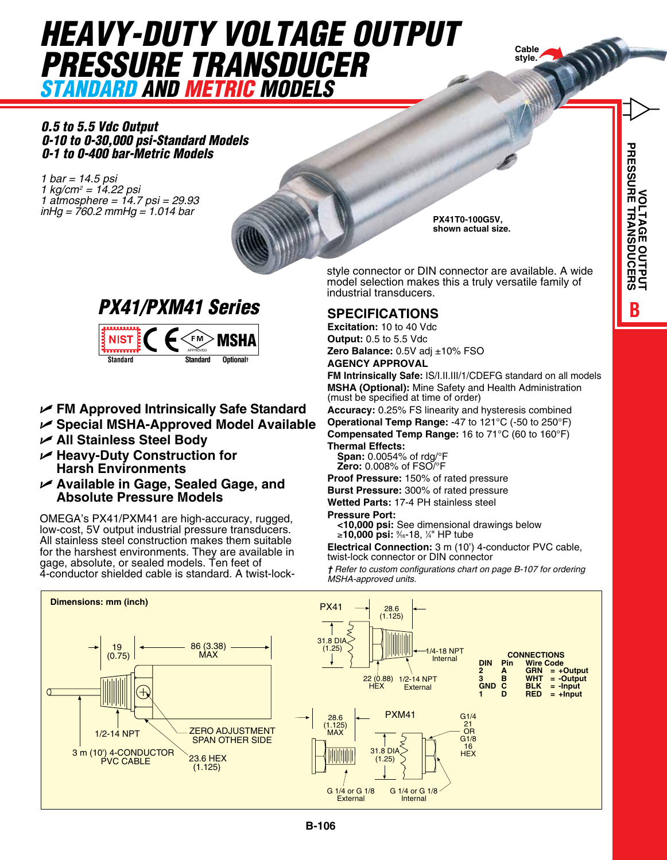# *HEAVY-DUTY VOLTAGE OUTPUT PRESSURE TRANSDUCER Standard and Metric Models*



*0.5 to 5.5 Vdc Output 0-10 to 0-30,000 psi-Standard Models 0-1 to 0-400 bar-Metric Models*

*1 bar = 14.5 psi 1 kg/cm2 = 14.22 psi 1 atmosphere = 14.7 psi = 29.93 inHg = 760.2 mmHg = 1.014 bar* **PX41T0-100G5V,**







- U **FM Approved Intrinsically Safe Standard**
- U **Special MSHA-Approved Model Available**
- U **All Stainless Steel Body**
- U **Heavy-Duty Construction for Harsh Environments ARE TWO ARTICLES EXAMPLE ARE TWO ARTICLES** 
	- U **Available in Gage, Sealed Gage, and Absolute Pressure Models**

OMEGA's PX41/PXM41 are high-accuracy, rugged, low-cost, 5V output industrial pressure transducers. All stainless steel construction makes them suitable for the harshest environments. They are available in gage, absolute, or sealed models. Ten feet of the three to the custom configuration 4-conductor shielded cable is standard. A twist-lock-

**shown actual size.**

style connector or DIN connector are available. A wide model selection makes this a truly versatile family of industrial transducers.

### **Specifications**

**Excitation:** 10 to 40 Vdc **Output:** 0.5 to 5.5 Vdc **Zero Balance:** 0.5V adj ±10% FSO **Agency Approval**

**FM Intrinsically Safe:** IS/I.II.III/1/CDEFG standard on all models **MSHA (Optional):** Mine Safety and Health Administration (must be specified at time of order)

**Accuracy:** 0.25% FS linearity and hysteresis combined **Operational Temp Range:** -47 to 121°C (-50 to 250°F) **Compensated Temp Range:** 16 to 71°C (60 to 160°F) **Thermal Effects:** 

**Span:** 0.0054% of rdg/°F **Zero:** 0.008% of FSO/°F

**Proof Pressure:** 150% of rated pressure **Burst Pressure:** 300% of rated pressure **Wetted Parts:** 17-4 PH stainless steel

### **Pressure Port:**

**<10,000 psi:** See dimensional drawings below ≥**10,000 psi:** <sup>9</sup> ⁄16-18, 1 ⁄4" HP tube

**Electrical Connection:** 3 m (10') 4-conductor PVC cable, twist-lock connector or DIN connector

*† Refer to custom configurations chart on page B-107 for ordering MSHA-approved units.*

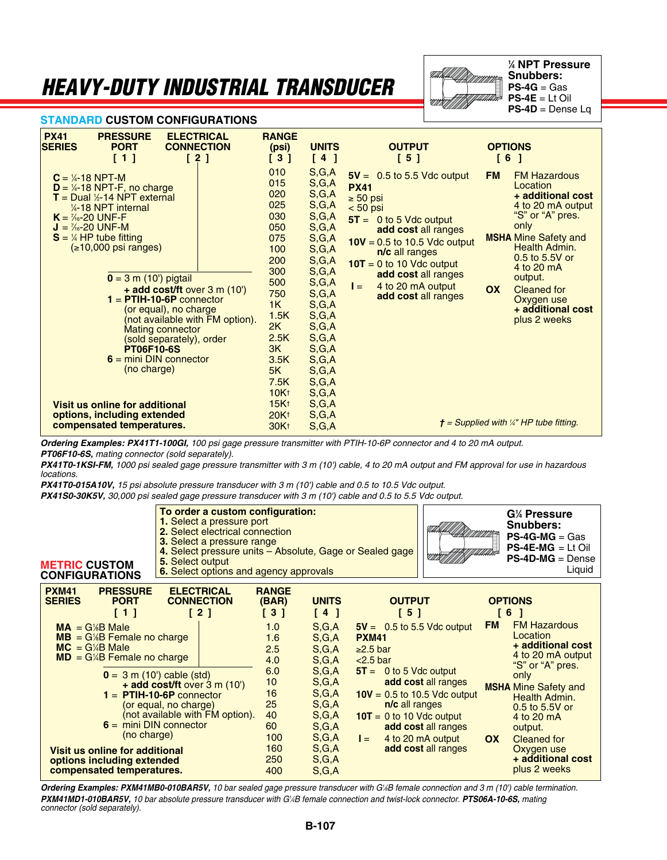## *Heavy-Duty Industrial Transducer*



**1 ⁄4 NPT Pressure Snubbers: PS-4G** = Gas **PS-4E** = Lt Oil **PS-4D** = Dense Lq

#### **STANDARD CUSTOM CONFIGURATIONS**

| <b>PX41</b><br><b>PRESSURE</b><br><b>ELECTRICAL</b><br><b>CONNECTION</b><br><b>SERIES</b><br><b>PORT</b>                                                                                                                                                                                                                                                                                                                                                                                                                                                                                                                                         | <b>RANGE</b><br>(psi)                                                                                                                                                                                | <b>UNITS</b>                                                                                                                                                                                                | <b>OUTPUT</b>                                                                                                                                                                                                                                                                               | <b>OPTIONS</b>                                                                                                                                                                                                                                                                               |
|--------------------------------------------------------------------------------------------------------------------------------------------------------------------------------------------------------------------------------------------------------------------------------------------------------------------------------------------------------------------------------------------------------------------------------------------------------------------------------------------------------------------------------------------------------------------------------------------------------------------------------------------------|------------------------------------------------------------------------------------------------------------------------------------------------------------------------------------------------------|-------------------------------------------------------------------------------------------------------------------------------------------------------------------------------------------------------------|---------------------------------------------------------------------------------------------------------------------------------------------------------------------------------------------------------------------------------------------------------------------------------------------|----------------------------------------------------------------------------------------------------------------------------------------------------------------------------------------------------------------------------------------------------------------------------------------------|
| [2]<br>[1]                                                                                                                                                                                                                                                                                                                                                                                                                                                                                                                                                                                                                                       | [3]                                                                                                                                                                                                  | [4]                                                                                                                                                                                                         | [5]                                                                                                                                                                                                                                                                                         | [6]                                                                                                                                                                                                                                                                                          |
| $C = \frac{1}{4} - 18$ NPT-M<br>$D = \frac{1}{4} - 18$ NPT-F, no charge<br>$T =$ Dual $\frac{1}{2}$ -14 NPT external<br>$\frac{1}{4}$ -18 NPT internal<br>$K = \frac{7}{6} - 20$ UNF-F<br>$J = \frac{7}{6} - 20$ UNF-M<br>$S = \frac{1}{4} H P$ tube fitting<br>$( \ge 10,000 \text{ psi ranges} )$<br>$0 = 3$ m (10') pigtail<br>+ add cost/ft over 3 m (10')<br>$1 =$ PTIH-10-6P connector<br>(or equal), no charge<br>(not available with FM option).<br><b>Mating connector</b><br>(sold separately), order<br><b>PT06F10-6S</b><br>$6 = mini$ DIN connector<br>(no charge)<br>Visit us online for additional<br>options, including extended | 010<br>015<br>020<br>025<br>030<br>050<br>075<br>100<br>200<br>300<br>500<br>750<br>1K<br>1.5K<br>2K<br>2.5K<br>3K<br>3.5K<br>5K<br>7.5K<br>10K <sub>†</sub><br>15K <sub>†</sub><br>20K <sub>†</sub> | S,G,A<br>S,G,A<br>S,G,A<br>S,G,A<br>S,G,A<br>S,G,A<br>S,G,A<br>S,G,A<br>S,G,A<br>S,G,A<br>S,G,A<br>S,G,A<br>S,G,A<br>S,G,A<br>S,G,A<br>S,G,A<br>S,G,A<br>S,G,A<br>S,G,A<br>S,G,A<br>S,G,A<br>S,G,A<br>S,G,A | $5V = 0.5$ to 5.5 Vdc output<br><b>PX41</b><br>$\geq 50$ psi<br>$< 50$ psi<br>$5T = 0$ to 5 Vdc output<br>add cost all ranges<br>$10V = 0.5$ to 10.5 Vdc output<br>n/c all ranges<br>$10T = 0$ to 10 Vdc output<br>add cost all ranges<br>4 to 20 mA output<br>$I =$<br>add cost all ranges | <b>FM Hazardous</b><br><b>FM</b><br>Location<br>+ additional cost<br>4 to 20 mA output<br>"S" or "A" pres.<br>only<br><b>MSHA Mine Safety and</b><br>Health Admin.<br>0.5 to 5.5V or<br>4 to 20 mA<br>output.<br>OX<br><b>Cleaned for</b><br>Oxygen use<br>+ additional cost<br>plus 2 weeks |
| compensated temperatures.                                                                                                                                                                                                                                                                                                                                                                                                                                                                                                                                                                                                                        | 30K <sup>+</sup>                                                                                                                                                                                     | S,G,A                                                                                                                                                                                                       |                                                                                                                                                                                                                                                                                             | $t =$ Supplied with '/4" HP tube fitting.                                                                                                                                                                                                                                                    |

*Ordering Examples: PX41T1-100GI, 100 psi gage pressure transmitter with PTIH-10-6P connector and 4 to 20 mA output. PT06F10-6S, mating connector (sold separately).* 

*PX41T0-1KSI-FM, 1000 psi sealed gage pressure transmitter with 3 m (10') cable, 4 to 20 mA output and FM approval for use in hazardous locations.* 

*PX41T0-015A10V, 15 psi absolute pressure transducer with 3 m (10') cable and 0.5 to 10.5 Vdc output.*

*PX41S0-30K5V, 30,000 psi sealed gage pressure transducer with 3 m (10') cable and 0.5 to 5.5 Vdc output.* 

| <b>METRIC CUSTOM</b><br><b>CONFIGURATIONS</b>                                                                                                                                                               | To order a custom configuration:<br>1. Select a pressure port<br>2. Select electrical connection<br>3. Select a pressure range<br>4. Select pressure units - Absolute, Gage or Sealed gage<br>5. Select output<br>6. Select options and agency approvals |                                                                                                      |                                                                                                                        |                                                                                                                                                                                                                                                   |                                                                      | G <sup>'</sup> / <sub>4</sub> Pressure<br><b>Snubbers:</b><br>$PS-4G-MG = Gas$<br>$PS-4E-MG = Lt$ Oil<br>$PS-4D-MG = Dense$<br>Liquid                                                                                                         |
|-------------------------------------------------------------------------------------------------------------------------------------------------------------------------------------------------------------|----------------------------------------------------------------------------------------------------------------------------------------------------------------------------------------------------------------------------------------------------------|------------------------------------------------------------------------------------------------------|------------------------------------------------------------------------------------------------------------------------|---------------------------------------------------------------------------------------------------------------------------------------------------------------------------------------------------------------------------------------------------|----------------------------------------------------------------------|-----------------------------------------------------------------------------------------------------------------------------------------------------------------------------------------------------------------------------------------------|
| <b>PXM41</b><br><b>PRESSURE</b><br><b>SERIES</b><br><b>PORT</b><br>$\lceil 1 \rceil$<br>$MA = G\%B$ Male<br>$MB = G\%B$ Female no charge<br>$MC = G/4B$ Male<br>$MD = G/4B$ Female no charge<br>(no charge) | <b>ELECTRICAL</b><br><b>CONNECTION</b><br>[2]<br>$0 = 3$ m (10') cable (std)<br>+ add cost/ft over 3 m (10')<br>$1 =$ PTIH-10-6P connector<br>(or equal, no charge)<br>(not available with FM option).<br>$6 = mini$ DIN connector                       | <b>RANGE</b><br>(BAR)<br>[3]<br>1.0<br>1.6<br>2.5<br>4.0<br>6.0<br>10<br>16<br>25<br>40<br>60<br>100 | <b>UNITS</b><br>[4]<br>S,G,A<br>S,G,A<br>S,G,A<br>S,G,A<br>S,G,A<br>S,G,A<br>S,G,A<br>S,G,A<br>S,G,A<br>S,G,A<br>S,G,A | <b>OUTPUT</b><br>[5]<br>$5V = 0.5$ to 5.5 Vdc output<br><b>PXM41</b><br>$\geq$ 2.5 bar<br>$<$ 2.5 bar<br>$5T = 0$ to 5 Vdc output<br>$10V = 0.5$ to 10.5 Vdc output<br>n/c all ranges<br>$10T = 0$ to 10 Vdc output<br>4 to 20 mA output<br>$l =$ | <b>FM</b><br>add cost all ranges<br>add cost all ranges<br><b>OX</b> | <b>OPTIONS</b><br>6<br>- 1<br><b>FM Hazardous</b><br>Location<br>+ additional cost<br>4 to 20 mA output<br>"S" or "A" pres.<br>only<br><b>MSHA</b> Mine Safety and<br>Health Admin.<br>0.5 to 5.5V or<br>4 to 20 mA<br>output.<br>Cleaned for |
| Visit us online for additional<br>options including extended<br>compensated temperatures.                                                                                                                   |                                                                                                                                                                                                                                                          | 160<br>250<br>400                                                                                    | S,G,A<br>S,G,A<br>S,G,A                                                                                                |                                                                                                                                                                                                                                                   | add cost all ranges                                                  | Oxygen use<br>+ additional cost<br>plus 2 weeks                                                                                                                                                                                               |

*Ordering Examples: PXM41MB0-010BAR5V, 10 bar sealed gage pressure transducer with G1 ⁄8B female connection and 3 m (10') cable termination. PXM41MD1-010BAR5V, 10 bar absolute pressure transducer with G1 ⁄4B female connection and twist-lock connector. PTS06A-10-6S, mating connector (sold separately).*